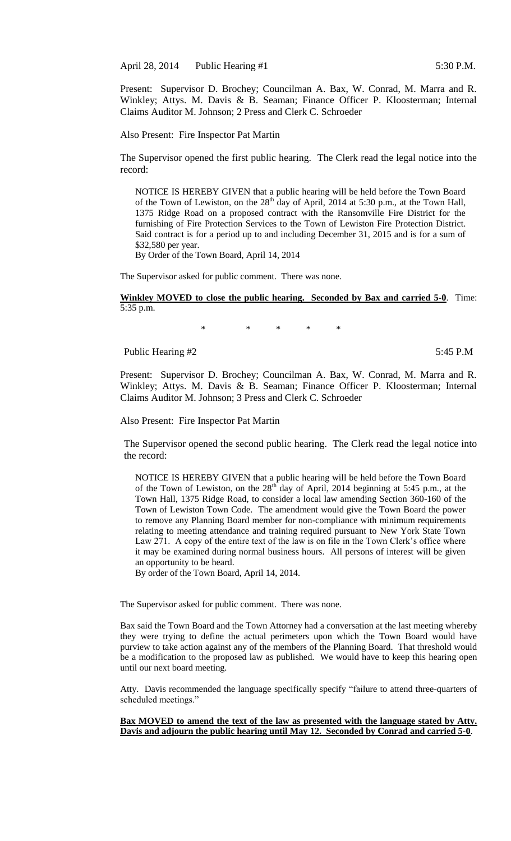April 28, 2014 Public Hearing #1 5:30 P.M.

Present: Supervisor D. Brochey; Councilman A. Bax, W. Conrad, M. Marra and R. Winkley; Attys. M. Davis & B. Seaman; Finance Officer P. Kloosterman; Internal Claims Auditor M. Johnson; 2 Press and Clerk C. Schroeder

Also Present: Fire Inspector Pat Martin

The Supervisor opened the first public hearing. The Clerk read the legal notice into the record:

NOTICE IS HEREBY GIVEN that a public hearing will be held before the Town Board of the Town of Lewiston, on the  $28<sup>th</sup>$  day of April, 2014 at 5:30 p.m., at the Town Hall, 1375 Ridge Road on a proposed contract with the Ransomville Fire District for the furnishing of Fire Protection Services to the Town of Lewiston Fire Protection District. Said contract is for a period up to and including December 31, 2015 and is for a sum of \$32,580 per year.

By Order of the Town Board, April 14, 2014

The Supervisor asked for public comment. There was none.

**Winkley MOVED to close the public hearing. Seconded by Bax and carried 5-0**. Time: 5:35 p.m.

\* \* \* \* \*

Public Hearing #2 5:45 P.M

Present: Supervisor D. Brochey; Councilman A. Bax, W. Conrad, M. Marra and R. Winkley; Attys. M. Davis & B. Seaman; Finance Officer P. Kloosterman; Internal Claims Auditor M. Johnson; 3 Press and Clerk C. Schroeder

Also Present: Fire Inspector Pat Martin

The Supervisor opened the second public hearing. The Clerk read the legal notice into the record:

NOTICE IS HEREBY GIVEN that a public hearing will be held before the Town Board of the Town of Lewiston, on the  $28<sup>th</sup>$  day of April, 2014 beginning at 5:45 p.m., at the Town Hall, 1375 Ridge Road, to consider a local law amending Section 360-160 of the Town of Lewiston Town Code. The amendment would give the Town Board the power to remove any Planning Board member for non-compliance with minimum requirements relating to meeting attendance and training required pursuant to New York State Town Law 271. A copy of the entire text of the law is on file in the Town Clerk's office where it may be examined during normal business hours. All persons of interest will be given an opportunity to be heard.

By order of the Town Board, April 14, 2014.

The Supervisor asked for public comment. There was none.

Bax said the Town Board and the Town Attorney had a conversation at the last meeting whereby they were trying to define the actual perimeters upon which the Town Board would have purview to take action against any of the members of the Planning Board. That threshold would be a modification to the proposed law as published. We would have to keep this hearing open until our next board meeting.

Atty. Davis recommended the language specifically specify "failure to attend three-quarters of scheduled meetings."

#### **Bax MOVED to amend the text of the law as presented with the language stated by Atty. Davis and adjourn the public hearing until May 12. Seconded by Conrad and carried 5-0**.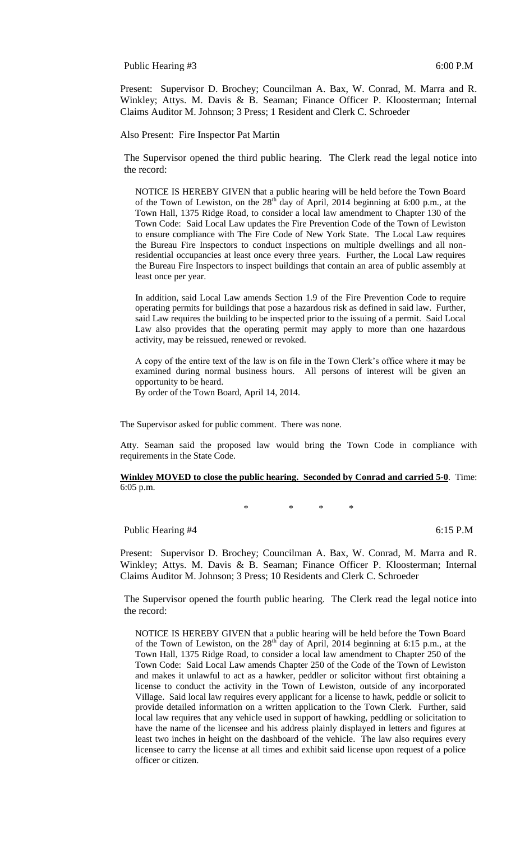Public Hearing #3 6:00 P.M

Present: Supervisor D. Brochey; Councilman A. Bax, W. Conrad, M. Marra and R. Winkley; Attys. M. Davis & B. Seaman; Finance Officer P. Kloosterman; Internal Claims Auditor M. Johnson; 3 Press; 1 Resident and Clerk C. Schroeder

Also Present: Fire Inspector Pat Martin

The Supervisor opened the third public hearing. The Clerk read the legal notice into the record:

NOTICE IS HEREBY GIVEN that a public hearing will be held before the Town Board of the Town of Lewiston, on the  $28<sup>th</sup>$  day of April, 2014 beginning at 6:00 p.m., at the Town Hall, 1375 Ridge Road, to consider a local law amendment to Chapter 130 of the Town Code: Said Local Law updates the Fire Prevention Code of the Town of Lewiston to ensure compliance with The Fire Code of New York State. The Local Law requires the Bureau Fire Inspectors to conduct inspections on multiple dwellings and all nonresidential occupancies at least once every three years. Further, the Local Law requires the Bureau Fire Inspectors to inspect buildings that contain an area of public assembly at least once per year.

In addition, said Local Law amends Section 1.9 of the Fire Prevention Code to require operating permits for buildings that pose a hazardous risk as defined in said law. Further, said Law requires the building to be inspected prior to the issuing of a permit. Said Local Law also provides that the operating permit may apply to more than one hazardous activity, may be reissued, renewed or revoked.

A copy of the entire text of the law is on file in the Town Clerk's office where it may be examined during normal business hours. All persons of interest will be given an opportunity to be heard.

By order of the Town Board, April 14, 2014.

The Supervisor asked for public comment. There was none.

Atty. Seaman said the proposed law would bring the Town Code in compliance with requirements in the State Code.

**Winkley MOVED to close the public hearing. Seconded by Conrad and carried 5-0**. Time: 6:05 p.m.

\* \* \* \*

Public Hearing #4 6:15 P.M

Present: Supervisor D. Brochey; Councilman A. Bax, W. Conrad, M. Marra and R. Winkley; Attys. M. Davis & B. Seaman; Finance Officer P. Kloosterman; Internal Claims Auditor M. Johnson; 3 Press; 10 Residents and Clerk C. Schroeder

The Supervisor opened the fourth public hearing. The Clerk read the legal notice into the record:

NOTICE IS HEREBY GIVEN that a public hearing will be held before the Town Board of the Town of Lewiston, on the  $28<sup>th</sup>$  day of April, 2014 beginning at 6:15 p.m., at the Town Hall, 1375 Ridge Road, to consider a local law amendment to Chapter 250 of the Town Code: Said Local Law amends Chapter 250 of the Code of the Town of Lewiston and makes it unlawful to act as a hawker, peddler or solicitor without first obtaining a license to conduct the activity in the Town of Lewiston, outside of any incorporated Village. Said local law requires every applicant for a license to hawk, peddle or solicit to provide detailed information on a written application to the Town Clerk. Further, said local law requires that any vehicle used in support of hawking, peddling or solicitation to have the name of the licensee and his address plainly displayed in letters and figures at least two inches in height on the dashboard of the vehicle. The law also requires every licensee to carry the license at all times and exhibit said license upon request of a police officer or citizen.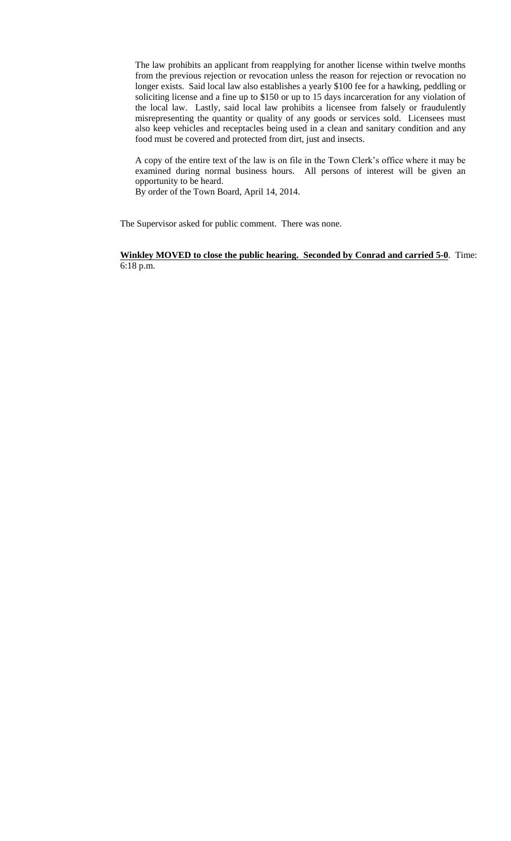The law prohibits an applicant from reapplying for another license within twelve months from the previous rejection or revocation unless the reason for rejection or revocation no longer exists. Said local law also establishes a yearly \$100 fee for a hawking, peddling or soliciting license and a fine up to \$150 or up to 15 days incarceration for any violation of the local law. Lastly, said local law prohibits a licensee from falsely or fraudulently misrepresenting the quantity or quality of any goods or services sold. Licensees must also keep vehicles and receptacles being used in a clean and sanitary condition and any food must be covered and protected from dirt, just and insects.

A copy of the entire text of the law is on file in the Town Clerk's office where it may be examined during normal business hours. All persons of interest will be given an opportunity to be heard.

By order of the Town Board, April 14, 2014.

The Supervisor asked for public comment. There was none.

**Winkley MOVED to close the public hearing. Seconded by Conrad and carried 5-0**. Time: 6:18 p.m.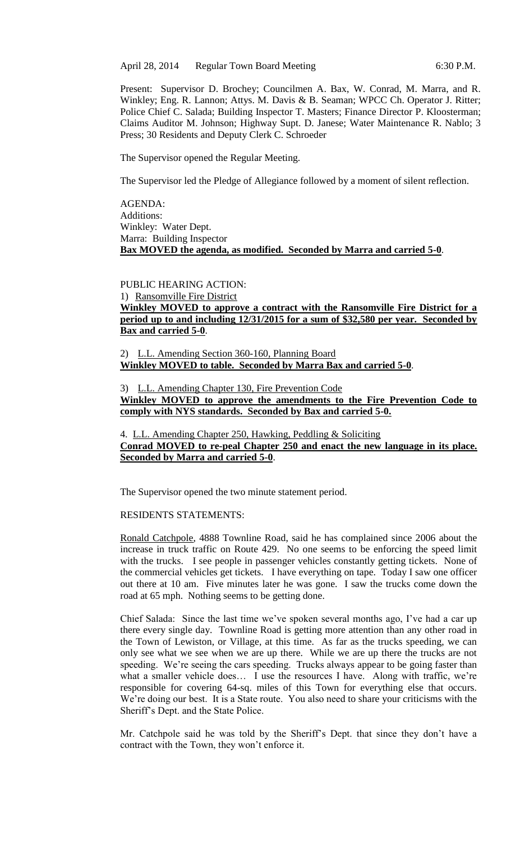April 28, 2014 Regular Town Board Meeting 6:30 P.M.

Present: Supervisor D. Brochey; Councilmen A. Bax, W. Conrad, M. Marra, and R. Winkley; Eng. R. Lannon; Attys. M. Davis & B. Seaman; WPCC Ch. Operator J. Ritter; Police Chief C. Salada; Building Inspector T. Masters; Finance Director P. Kloosterman; Claims Auditor M. Johnson; Highway Supt. D. Janese; Water Maintenance R. Nablo; 3 Press; 30 Residents and Deputy Clerk C. Schroeder

The Supervisor opened the Regular Meeting.

The Supervisor led the Pledge of Allegiance followed by a moment of silent reflection.

AGENDA: Additions: Winkley: Water Dept. Marra: Building Inspector **Bax MOVED the agenda, as modified. Seconded by Marra and carried 5-0**.

# PUBLIC HEARING ACTION:

1) Ransomville Fire District

**Winkley MOVED to approve a contract with the Ransomville Fire District for a period up to and including 12/31/2015 for a sum of \$32,580 per year. Seconded by Bax and carried 5-0**.

2) L.L. Amending Section 360-160, Planning Board **Winkley MOVED to table. Seconded by Marra Bax and carried 5-0**.

#### 3) L.L. Amending Chapter 130, Fire Prevention Code

**Winkley MOVED to approve the amendments to the Fire Prevention Code to comply with NYS standards. Seconded by Bax and carried 5-0.**

4. L.L. Amending Chapter 250, Hawking, Peddling & Soliciting **Conrad MOVED to re-peal Chapter 250 and enact the new language in its place. Seconded by Marra and carried 5-0**.

The Supervisor opened the two minute statement period.

#### RESIDENTS STATEMENTS:

Ronald Catchpole, 4888 Townline Road, said he has complained since 2006 about the increase in truck traffic on Route 429. No one seems to be enforcing the speed limit with the trucks. I see people in passenger vehicles constantly getting tickets. None of the commercial vehicles get tickets. I have everything on tape. Today I saw one officer out there at 10 am. Five minutes later he was gone. I saw the trucks come down the road at 65 mph. Nothing seems to be getting done.

Chief Salada: Since the last time we've spoken several months ago, I've had a car up there every single day. Townline Road is getting more attention than any other road in the Town of Lewiston, or Village, at this time. As far as the trucks speeding, we can only see what we see when we are up there. While we are up there the trucks are not speeding. We're seeing the cars speeding. Trucks always appear to be going faster than what a smaller vehicle does... I use the resources I have. Along with traffic, we're responsible for covering 64-sq. miles of this Town for everything else that occurs. We're doing our best. It is a State route. You also need to share your criticisms with the Sheriff's Dept. and the State Police.

Mr. Catchpole said he was told by the Sheriff's Dept. that since they don't have a contract with the Town, they won't enforce it.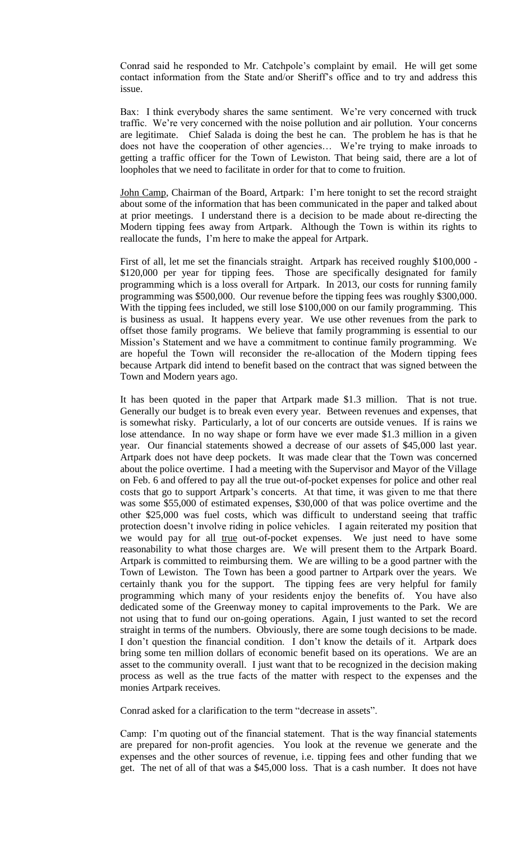Conrad said he responded to Mr. Catchpole's complaint by email. He will get some contact information from the State and/or Sheriff's office and to try and address this issue.

Bax: I think everybody shares the same sentiment. We're very concerned with truck traffic. We're very concerned with the noise pollution and air pollution. Your concerns are legitimate. Chief Salada is doing the best he can. The problem he has is that he does not have the cooperation of other agencies… We're trying to make inroads to getting a traffic officer for the Town of Lewiston. That being said, there are a lot of loopholes that we need to facilitate in order for that to come to fruition.

John Camp, Chairman of the Board, Artpark: I'm here tonight to set the record straight about some of the information that has been communicated in the paper and talked about at prior meetings. I understand there is a decision to be made about re-directing the Modern tipping fees away from Artpark. Although the Town is within its rights to reallocate the funds, I'm here to make the appeal for Artpark.

First of all, let me set the financials straight. Artpark has received roughly \$100,000 - \$120,000 per year for tipping fees. Those are specifically designated for family programming which is a loss overall for Artpark. In 2013, our costs for running family programming was \$500,000. Our revenue before the tipping fees was roughly \$300,000. With the tipping fees included, we still lose \$100,000 on our family programming. This is business as usual. It happens every year. We use other revenues from the park to offset those family programs. We believe that family programming is essential to our Mission's Statement and we have a commitment to continue family programming. We are hopeful the Town will reconsider the re-allocation of the Modern tipping fees because Artpark did intend to benefit based on the contract that was signed between the Town and Modern years ago.

It has been quoted in the paper that Artpark made \$1.3 million. That is not true. Generally our budget is to break even every year. Between revenues and expenses, that is somewhat risky. Particularly, a lot of our concerts are outside venues. If is rains we lose attendance. In no way shape or form have we ever made \$1.3 million in a given year. Our financial statements showed a decrease of our assets of \$45,000 last year. Artpark does not have deep pockets. It was made clear that the Town was concerned about the police overtime. I had a meeting with the Supervisor and Mayor of the Village on Feb. 6 and offered to pay all the true out-of-pocket expenses for police and other real costs that go to support Artpark's concerts. At that time, it was given to me that there was some \$55,000 of estimated expenses, \$30,000 of that was police overtime and the other \$25,000 was fuel costs, which was difficult to understand seeing that traffic protection doesn't involve riding in police vehicles. I again reiterated my position that we would pay for all true out-of-pocket expenses. We just need to have some reasonability to what those charges are. We will present them to the Artpark Board. Artpark is committed to reimbursing them. We are willing to be a good partner with the Town of Lewiston. The Town has been a good partner to Artpark over the years. We certainly thank you for the support. The tipping fees are very helpful for family programming which many of your residents enjoy the benefits of. You have also dedicated some of the Greenway money to capital improvements to the Park. We are not using that to fund our on-going operations. Again, I just wanted to set the record straight in terms of the numbers. Obviously, there are some tough decisions to be made. I don't question the financial condition. I don't know the details of it. Artpark does bring some ten million dollars of economic benefit based on its operations. We are an asset to the community overall. I just want that to be recognized in the decision making process as well as the true facts of the matter with respect to the expenses and the monies Artpark receives.

Conrad asked for a clarification to the term "decrease in assets".

Camp: I'm quoting out of the financial statement. That is the way financial statements are prepared for non-profit agencies. You look at the revenue we generate and the expenses and the other sources of revenue, i.e. tipping fees and other funding that we get. The net of all of that was a \$45,000 loss. That is a cash number. It does not have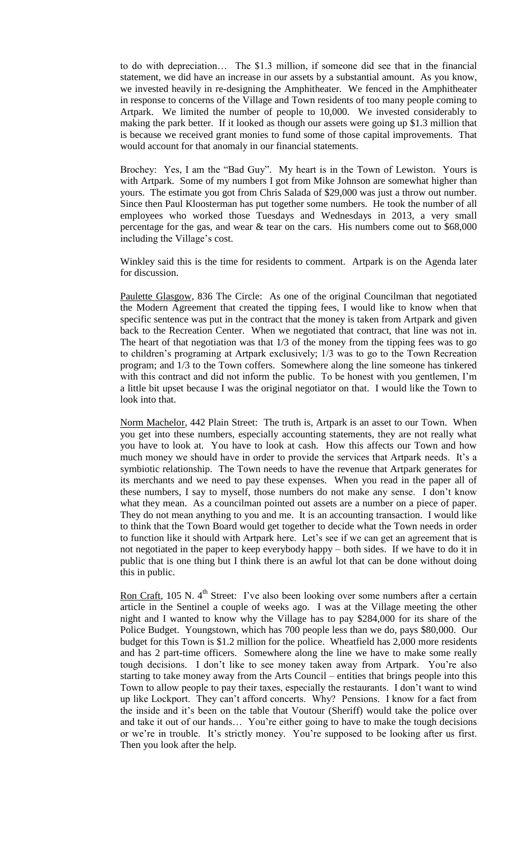to do with depreciation… The \$1.3 million, if someone did see that in the financial statement, we did have an increase in our assets by a substantial amount. As you know, we invested heavily in re-designing the Amphitheater. We fenced in the Amphitheater in response to concerns of the Village and Town residents of too many people coming to Artpark. We limited the number of people to 10,000. We invested considerably to making the park better. If it looked as though our assets were going up \$1.3 million that is because we received grant monies to fund some of those capital improvements. That would account for that anomaly in our financial statements.

Brochey: Yes, I am the "Bad Guy". My heart is in the Town of Lewiston. Yours is with Artpark. Some of my numbers I got from Mike Johnson are somewhat higher than yours. The estimate you got from Chris Salada of \$29,000 was just a throw out number. Since then Paul Kloosterman has put together some numbers. He took the number of all employees who worked those Tuesdays and Wednesdays in 2013, a very small percentage for the gas, and wear & tear on the cars. His numbers come out to \$68,000 including the Village's cost.

Winkley said this is the time for residents to comment. Artpark is on the Agenda later for discussion.

Paulette Glasgow, 836 The Circle: As one of the original Councilman that negotiated the Modern Agreement that created the tipping fees, I would like to know when that specific sentence was put in the contract that the money is taken from Artpark and given back to the Recreation Center. When we negotiated that contract, that line was not in. The heart of that negotiation was that 1/3 of the money from the tipping fees was to go to children's programing at Artpark exclusively; 1/3 was to go to the Town Recreation program; and 1/3 to the Town coffers. Somewhere along the line someone has tinkered with this contract and did not inform the public. To be honest with you gentlemen, I'm a little bit upset because I was the original negotiator on that. I would like the Town to look into that.

Norm Machelor, 442 Plain Street: The truth is, Artpark is an asset to our Town. When you get into these numbers, especially accounting statements, they are not really what you have to look at. You have to look at cash. How this affects our Town and how much money we should have in order to provide the services that Artpark needs. It's a symbiotic relationship. The Town needs to have the revenue that Artpark generates for its merchants and we need to pay these expenses. When you read in the paper all of these numbers, I say to myself, those numbers do not make any sense. I don't know what they mean. As a councilman pointed out assets are a number on a piece of paper. They do not mean anything to you and me. It is an accounting transaction. I would like to think that the Town Board would get together to decide what the Town needs in order to function like it should with Artpark here. Let's see if we can get an agreement that is not negotiated in the paper to keep everybody happy – both sides. If we have to do it in public that is one thing but I think there is an awful lot that can be done without doing this in public.

Ron Craft, 105 N.  $4<sup>th</sup>$  Street: I've also been looking over some numbers after a certain article in the Sentinel a couple of weeks ago. I was at the Village meeting the other night and I wanted to know why the Village has to pay \$284,000 for its share of the Police Budget. Youngstown, which has 700 people less than we do, pays \$80,000. Our budget for this Town is \$1.2 million for the police. Wheatfield has 2,000 more residents and has 2 part-time officers. Somewhere along the line we have to make some really tough decisions. I don't like to see money taken away from Artpark. You're also starting to take money away from the Arts Council – entities that brings people into this Town to allow people to pay their taxes, especially the restaurants. I don't want to wind up like Lockport. They can't afford concerts. Why? Pensions. I know for a fact from the inside and it's been on the table that Voutour (Sheriff) would take the police over and take it out of our hands… You're either going to have to make the tough decisions or we're in trouble. It's strictly money. You're supposed to be looking after us first. Then you look after the help.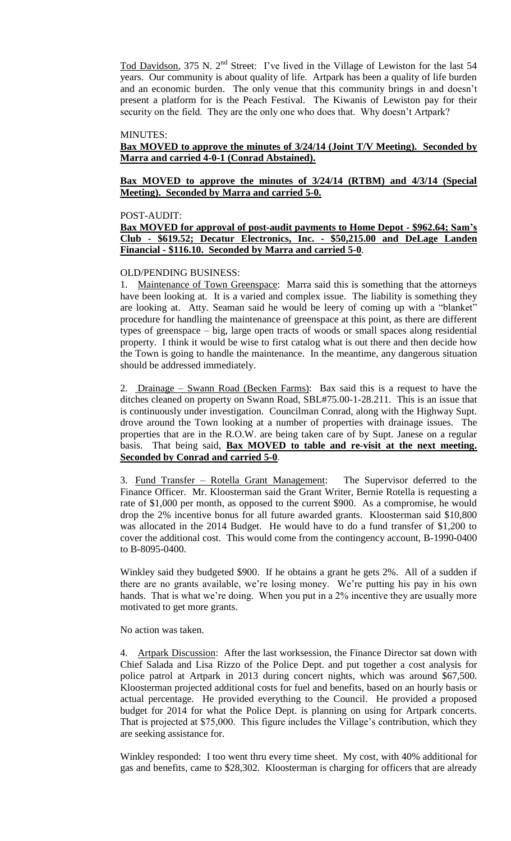Tod Davidson, 375 N. 2<sup>nd</sup> Street: I've lived in the Village of Lewiston for the last 54 years. Our community is about quality of life. Artpark has been a quality of life burden and an economic burden. The only venue that this community brings in and doesn't present a platform for is the Peach Festival. The Kiwanis of Lewiston pay for their security on the field. They are the only one who does that. Why doesn't Artpark?

#### MINUTES:

## **Bax MOVED to approve the minutes of 3/24/14 (Joint T/V Meeting). Seconded by Marra and carried 4-0-1 (Conrad Abstained).**

### **Bax MOVED to approve the minutes of 3/24/14 (RTBM) and 4/3/14 (Special Meeting). Seconded by Marra and carried 5-0.**

#### POST-AUDIT:

### **Bax MOVED for approval of post-audit payments to Home Depot - \$962.64; Sam's Club - \$619.52; Decatur Electronics, Inc. - \$50,215.00 and DeLage Landen Financial - \$116.10. Seconded by Marra and carried 5-0**.

#### OLD/PENDING BUSINESS:

1. Maintenance of Town Greenspace: Marra said this is something that the attorneys have been looking at. It is a varied and complex issue. The liability is something they are looking at. Atty. Seaman said he would be leery of coming up with a "blanket" procedure for handling the maintenance of greenspace at this point, as there are different types of greenspace – big, large open tracts of woods or small spaces along residential property. I think it would be wise to first catalog what is out there and then decide how the Town is going to handle the maintenance. In the meantime, any dangerous situation should be addressed immediately.

2. Drainage – Swann Road (Becken Farms): Bax said this is a request to have the ditches cleaned on property on Swann Road, SBL#75.00-1-28.211. This is an issue that is continuously under investigation. Councilman Conrad, along with the Highway Supt. drove around the Town looking at a number of properties with drainage issues. The properties that are in the R.O.W. are being taken care of by Supt. Janese on a regular basis. That being said, **Bax MOVED to table and re-visit at the next meeting. Seconded by Conrad and carried 5-0**.

3. Fund Transfer – Rotella Grant Management: The Supervisor deferred to the Finance Officer. Mr. Kloosterman said the Grant Writer, Bernie Rotella is requesting a rate of \$1,000 per month, as opposed to the current \$900. As a compromise, he would drop the 2% incentive bonus for all future awarded grants. Kloosterman said \$10,800 was allocated in the 2014 Budget. He would have to do a fund transfer of \$1,200 to cover the additional cost. This would come from the contingency account, B-1990-0400 to B-8095-0400.

Winkley said they budgeted \$900. If he obtains a grant he gets 2%. All of a sudden if there are no grants available, we're losing money. We're putting his pay in his own hands. That is what we're doing. When you put in a 2% incentive they are usually more motivated to get more grants.

#### No action was taken.

4. Artpark Discussion: After the last worksession, the Finance Director sat down with Chief Salada and Lisa Rizzo of the Police Dept. and put together a cost analysis for police patrol at Artpark in 2013 during concert nights, which was around \$67,500. Kloosterman projected additional costs for fuel and benefits, based on an hourly basis or actual percentage. He provided everything to the Council. He provided a proposed budget for 2014 for what the Police Dept. is planning on using for Artpark concerts. That is projected at \$75,000. This figure includes the Village's contribution, which they are seeking assistance for.

Winkley responded: I too went thru every time sheet. My cost, with 40% additional for gas and benefits, came to \$28,302. Kloosterman is charging for officers that are already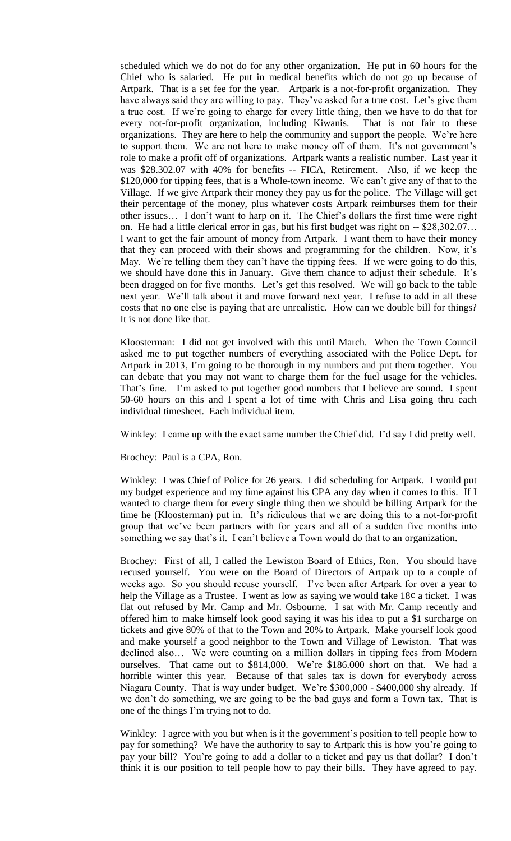scheduled which we do not do for any other organization. He put in 60 hours for the Chief who is salaried. He put in medical benefits which do not go up because of Artpark. That is a set fee for the year. Artpark is a not-for-profit organization. They have always said they are willing to pay. They've asked for a true cost. Let's give them a true cost. If we're going to charge for every little thing, then we have to do that for every not-for-profit organization, including Kiwanis. That is not fair to these organizations. They are here to help the community and support the people. We're here to support them. We are not here to make money off of them. It's not government's role to make a profit off of organizations. Artpark wants a realistic number. Last year it was \$28.302.07 with 40% for benefits -- FICA, Retirement. Also, if we keep the \$120,000 for tipping fees, that is a Whole-town income. We can't give any of that to the Village. If we give Artpark their money they pay us for the police. The Village will get their percentage of the money, plus whatever costs Artpark reimburses them for their other issues… I don't want to harp on it. The Chief's dollars the first time were right on. He had a little clerical error in gas, but his first budget was right on -- \$28,302.07… I want to get the fair amount of money from Artpark. I want them to have their money that they can proceed with their shows and programming for the children. Now, it's May. We're telling them they can't have the tipping fees. If we were going to do this, we should have done this in January. Give them chance to adjust their schedule. It's been dragged on for five months. Let's get this resolved. We will go back to the table next year. We'll talk about it and move forward next year. I refuse to add in all these costs that no one else is paying that are unrealistic. How can we double bill for things? It is not done like that.

Kloosterman: I did not get involved with this until March. When the Town Council asked me to put together numbers of everything associated with the Police Dept. for Artpark in 2013, I'm going to be thorough in my numbers and put them together. You can debate that you may not want to charge them for the fuel usage for the vehicles. That's fine. I'm asked to put together good numbers that I believe are sound. I spent 50-60 hours on this and I spent a lot of time with Chris and Lisa going thru each individual timesheet. Each individual item.

Winkley: I came up with the exact same number the Chief did. I'd say I did pretty well.

Brochey: Paul is a CPA, Ron.

Winkley: I was Chief of Police for 26 years. I did scheduling for Artpark. I would put my budget experience and my time against his CPA any day when it comes to this. If I wanted to charge them for every single thing then we should be billing Artpark for the time he (Kloosterman) put in. It's ridiculous that we are doing this to a not-for-profit group that we've been partners with for years and all of a sudden five months into something we say that's it. I can't believe a Town would do that to an organization.

Brochey: First of all, I called the Lewiston Board of Ethics, Ron. You should have recused yourself. You were on the Board of Directors of Artpark up to a couple of weeks ago. So you should recuse yourself. I've been after Artpark for over a year to help the Village as a Trustee. I went as low as saying we would take  $18¢$  a ticket. I was flat out refused by Mr. Camp and Mr. Osbourne. I sat with Mr. Camp recently and offered him to make himself look good saying it was his idea to put a \$1 surcharge on tickets and give 80% of that to the Town and 20% to Artpark. Make yourself look good and make yourself a good neighbor to the Town and Village of Lewiston. That was declined also… We were counting on a million dollars in tipping fees from Modern ourselves. That came out to \$814,000. We're \$186.000 short on that. We had a horrible winter this year. Because of that sales tax is down for everybody across Niagara County. That is way under budget. We're \$300,000 - \$400,000 shy already. If we don't do something, we are going to be the bad guys and form a Town tax. That is one of the things I'm trying not to do.

Winkley: I agree with you but when is it the government's position to tell people how to pay for something? We have the authority to say to Artpark this is how you're going to pay your bill? You're going to add a dollar to a ticket and pay us that dollar? I don't think it is our position to tell people how to pay their bills. They have agreed to pay.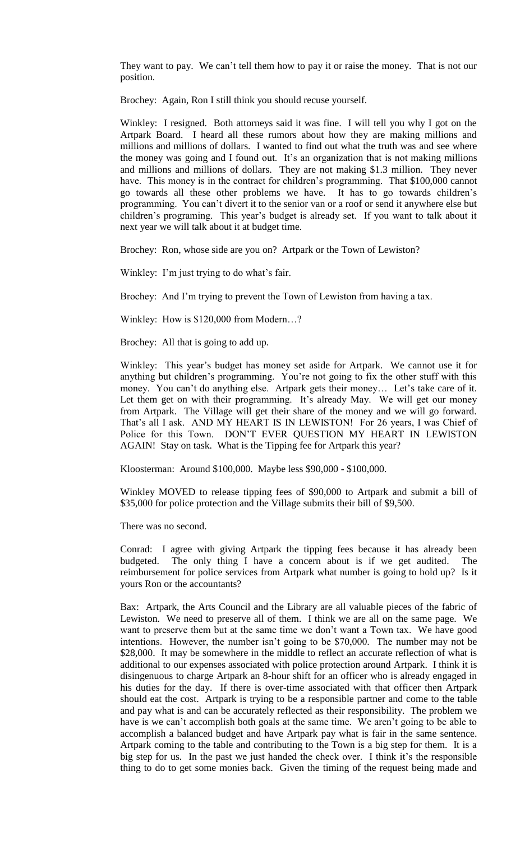They want to pay. We can't tell them how to pay it or raise the money. That is not our position.

Brochey: Again, Ron I still think you should recuse yourself.

Winkley: I resigned. Both attorneys said it was fine. I will tell you why I got on the Artpark Board. I heard all these rumors about how they are making millions and millions and millions of dollars. I wanted to find out what the truth was and see where the money was going and I found out. It's an organization that is not making millions and millions and millions of dollars. They are not making \$1.3 million. They never have. This money is in the contract for children's programming. That \$100,000 cannot go towards all these other problems we have. It has to go towards children's programming. You can't divert it to the senior van or a roof or send it anywhere else but children's programing. This year's budget is already set. If you want to talk about it next year we will talk about it at budget time.

Brochey: Ron, whose side are you on? Artpark or the Town of Lewiston?

Winkley: I'm just trying to do what's fair.

Brochey: And I'm trying to prevent the Town of Lewiston from having a tax.

Winkley: How is \$120,000 from Modern…?

Brochey: All that is going to add up.

Winkley: This year's budget has money set aside for Artpark. We cannot use it for anything but children's programming. You're not going to fix the other stuff with this money. You can't do anything else. Artpark gets their money… Let's take care of it. Let them get on with their programming. It's already May. We will get our money from Artpark. The Village will get their share of the money and we will go forward. That's all I ask. AND MY HEART IS IN LEWISTON! For 26 years, I was Chief of Police for this Town. DON'T EVER QUESTION MY HEART IN LEWISTON AGAIN! Stay on task. What is the Tipping fee for Artpark this year?

Kloosterman: Around \$100,000. Maybe less \$90,000 - \$100,000.

Winkley MOVED to release tipping fees of \$90,000 to Artpark and submit a bill of \$35,000 for police protection and the Village submits their bill of \$9,500.

There was no second.

Conrad: I agree with giving Artpark the tipping fees because it has already been budgeted. The only thing I have a concern about is if we get audited. The reimbursement for police services from Artpark what number is going to hold up? Is it yours Ron or the accountants?

Bax: Artpark, the Arts Council and the Library are all valuable pieces of the fabric of Lewiston. We need to preserve all of them. I think we are all on the same page. We want to preserve them but at the same time we don't want a Town tax. We have good intentions. However, the number isn't going to be \$70,000. The number may not be \$28,000. It may be somewhere in the middle to reflect an accurate reflection of what is additional to our expenses associated with police protection around Artpark. I think it is disingenuous to charge Artpark an 8-hour shift for an officer who is already engaged in his duties for the day. If there is over-time associated with that officer then Artpark should eat the cost. Artpark is trying to be a responsible partner and come to the table and pay what is and can be accurately reflected as their responsibility. The problem we have is we can't accomplish both goals at the same time. We aren't going to be able to accomplish a balanced budget and have Artpark pay what is fair in the same sentence. Artpark coming to the table and contributing to the Town is a big step for them. It is a big step for us. In the past we just handed the check over. I think it's the responsible thing to do to get some monies back. Given the timing of the request being made and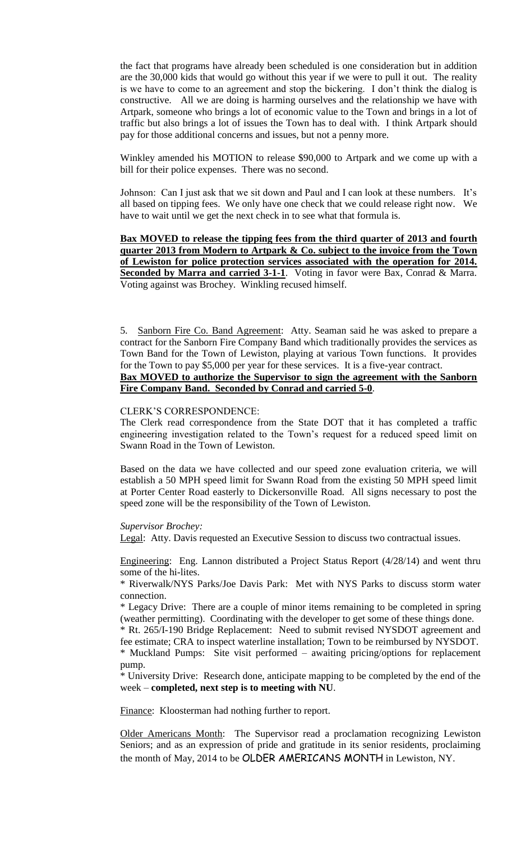the fact that programs have already been scheduled is one consideration but in addition are the 30,000 kids that would go without this year if we were to pull it out. The reality is we have to come to an agreement and stop the bickering. I don't think the dialog is constructive. All we are doing is harming ourselves and the relationship we have with Artpark, someone who brings a lot of economic value to the Town and brings in a lot of traffic but also brings a lot of issues the Town has to deal with. I think Artpark should pay for those additional concerns and issues, but not a penny more.

Winkley amended his MOTION to release \$90,000 to Artpark and we come up with a bill for their police expenses. There was no second.

Johnson: Can I just ask that we sit down and Paul and I can look at these numbers. It's all based on tipping fees. We only have one check that we could release right now. We have to wait until we get the next check in to see what that formula is.

**Bax MOVED to release the tipping fees from the third quarter of 2013 and fourth quarter 2013 from Modern to Artpark & Co. subject to the invoice from the Town of Lewiston for police protection services associated with the operation for 2014.**  Seconded by Marra and carried 3-1-1. Voting in favor were Bax, Conrad & Marra. Voting against was Brochey. Winkling recused himself.

5. Sanborn Fire Co. Band Agreement: Atty. Seaman said he was asked to prepare a contract for the Sanborn Fire Company Band which traditionally provides the services as Town Band for the Town of Lewiston, playing at various Town functions. It provides for the Town to pay \$5,000 per year for these services. It is a five-year contract. **Bax MOVED to authorize the Supervisor to sign the agreement with the Sanborn Fire Company Band. Seconded by Conrad and carried 5-0**.

#### CLERK'S CORRESPONDENCE:

The Clerk read correspondence from the State DOT that it has completed a traffic engineering investigation related to the Town's request for a reduced speed limit on Swann Road in the Town of Lewiston.

Based on the data we have collected and our speed zone evaluation criteria, we will establish a 50 MPH speed limit for Swann Road from the existing 50 MPH speed limit at Porter Center Road easterly to Dickersonville Road. All signs necessary to post the speed zone will be the responsibility of the Town of Lewiston.

#### *Supervisor Brochey:*

Legal: Atty. Davis requested an Executive Session to discuss two contractual issues.

Engineering: Eng. Lannon distributed a Project Status Report (4/28/14) and went thru some of the hi-lites.

\* Riverwalk/NYS Parks/Joe Davis Park: Met with NYS Parks to discuss storm water connection.

\* Legacy Drive: There are a couple of minor items remaining to be completed in spring (weather permitting). Coordinating with the developer to get some of these things done.

\* Rt. 265/I-190 Bridge Replacement: Need to submit revised NYSDOT agreement and fee estimate; CRA to inspect waterline installation; Town to be reimbursed by NYSDOT.

\* Muckland Pumps: Site visit performed – awaiting pricing/options for replacement pump.

\* University Drive: Research done, anticipate mapping to be completed by the end of the week – **completed, next step is to meeting with NU**.

Finance: Kloosterman had nothing further to report.

Older Americans Month: The Supervisor read a proclamation recognizing Lewiston Seniors; and as an expression of pride and gratitude in its senior residents, proclaiming the month of May, 2014 to be OLDER AMERICANS MONTH in Lewiston, NY.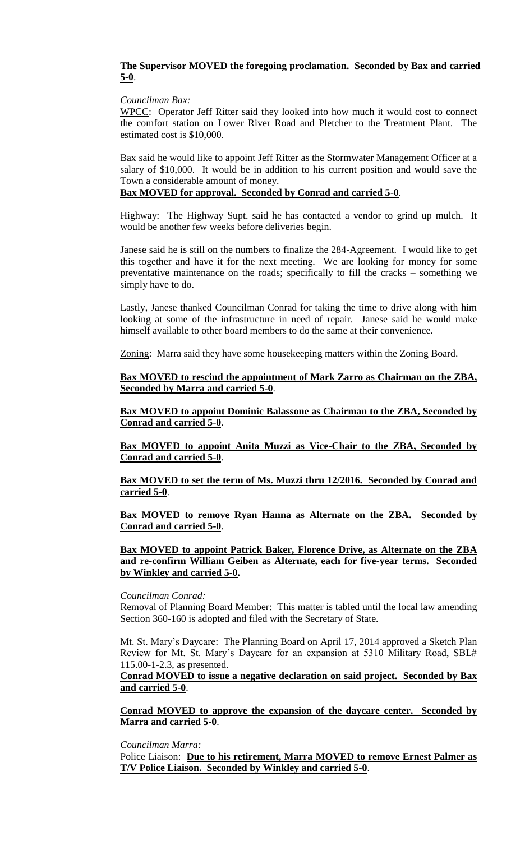# **The Supervisor MOVED the foregoing proclamation. Seconded by Bax and carried 5-0**.

#### *Councilman Bax:*

WPCC: Operator Jeff Ritter said they looked into how much it would cost to connect the comfort station on Lower River Road and Pletcher to the Treatment Plant. The estimated cost is \$10,000.

Bax said he would like to appoint Jeff Ritter as the Stormwater Management Officer at a salary of \$10,000. It would be in addition to his current position and would save the Town a considerable amount of money.

# **Bax MOVED for approval. Seconded by Conrad and carried 5-0**.

Highway: The Highway Supt. said he has contacted a vendor to grind up mulch. It would be another few weeks before deliveries begin.

Janese said he is still on the numbers to finalize the 284-Agreement. I would like to get this together and have it for the next meeting. We are looking for money for some preventative maintenance on the roads; specifically to fill the cracks – something we simply have to do.

Lastly, Janese thanked Councilman Conrad for taking the time to drive along with him looking at some of the infrastructure in need of repair. Janese said he would make himself available to other board members to do the same at their convenience.

Zoning: Marra said they have some housekeeping matters within the Zoning Board.

**Bax MOVED to rescind the appointment of Mark Zarro as Chairman on the ZBA, Seconded by Marra and carried 5-0**.

**Bax MOVED to appoint Dominic Balassone as Chairman to the ZBA, Seconded by Conrad and carried 5-0**.

**Bax MOVED to appoint Anita Muzzi as Vice-Chair to the ZBA, Seconded by Conrad and carried 5-0**.

**Bax MOVED to set the term of Ms. Muzzi thru 12/2016. Seconded by Conrad and carried 5-0**.

**Bax MOVED to remove Ryan Hanna as Alternate on the ZBA. Seconded by Conrad and carried 5-0**.

**Bax MOVED to appoint Patrick Baker, Florence Drive, as Alternate on the ZBA and re-confirm William Geiben as Alternate, each for five-year terms. Seconded by Winkley and carried 5-0.**

#### *Councilman Conrad:*

Removal of Planning Board Member: This matter is tabled until the local law amending Section 360-160 is adopted and filed with the Secretary of State.

Mt. St. Mary's Daycare: The Planning Board on April 17, 2014 approved a Sketch Plan Review for Mt. St. Mary's Daycare for an expansion at 5310 Military Road, SBL# 115.00-1-2.3, as presented.

### **Conrad MOVED to issue a negative declaration on said project. Seconded by Bax and carried 5-0**.

**Conrad MOVED to approve the expansion of the daycare center. Seconded by Marra and carried 5-0**.

*Councilman Marra:*

Police Liaison: **Due to his retirement, Marra MOVED to remove Ernest Palmer as T/V Police Liaison. Seconded by Winkley and carried 5-0**.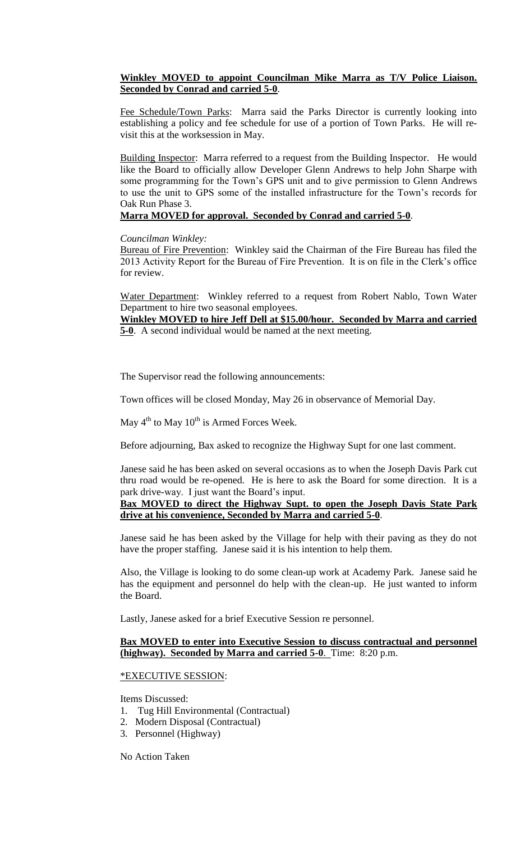# **Winkley MOVED to appoint Councilman Mike Marra as T/V Police Liaison. Seconded by Conrad and carried 5-0**.

Fee Schedule/Town Parks: Marra said the Parks Director is currently looking into establishing a policy and fee schedule for use of a portion of Town Parks. He will revisit this at the worksession in May.

Building Inspector: Marra referred to a request from the Building Inspector. He would like the Board to officially allow Developer Glenn Andrews to help John Sharpe with some programming for the Town's GPS unit and to give permission to Glenn Andrews to use the unit to GPS some of the installed infrastructure for the Town's records for Oak Run Phase 3.

# **Marra MOVED for approval. Seconded by Conrad and carried 5-0**.

# *Councilman Winkley:*

Bureau of Fire Prevention: Winkley said the Chairman of the Fire Bureau has filed the 2013 Activity Report for the Bureau of Fire Prevention. It is on file in the Clerk's office for review.

Water Department: Winkley referred to a request from Robert Nablo, Town Water Department to hire two seasonal employees.

**Winkley MOVED to hire Jeff Dell at \$15.00/hour. Seconded by Marra and carried 5-0**. A second individual would be named at the next meeting.

The Supervisor read the following announcements:

Town offices will be closed Monday, May 26 in observance of Memorial Day.

May  $4^{th}$  to May  $10^{th}$  is Armed Forces Week.

Before adjourning, Bax asked to recognize the Highway Supt for one last comment.

Janese said he has been asked on several occasions as to when the Joseph Davis Park cut thru road would be re-opened. He is here to ask the Board for some direction. It is a park drive-way. I just want the Board's input.

# **Bax MOVED to direct the Highway Supt. to open the Joseph Davis State Park drive at his convenience, Seconded by Marra and carried 5-0**.

Janese said he has been asked by the Village for help with their paving as they do not have the proper staffing. Janese said it is his intention to help them.

Also, the Village is looking to do some clean-up work at Academy Park. Janese said he has the equipment and personnel do help with the clean-up. He just wanted to inform the Board.

Lastly, Janese asked for a brief Executive Session re personnel.

# **Bax MOVED to enter into Executive Session to discuss contractual and personnel (highway). Seconded by Marra and carried 5-0**. Time: 8:20 p.m.

# \*EXECUTIVE SESSION:

Items Discussed:

- 1. Tug Hill Environmental (Contractual)
- 2. Modern Disposal (Contractual)
- 3. Personnel (Highway)

No Action Taken